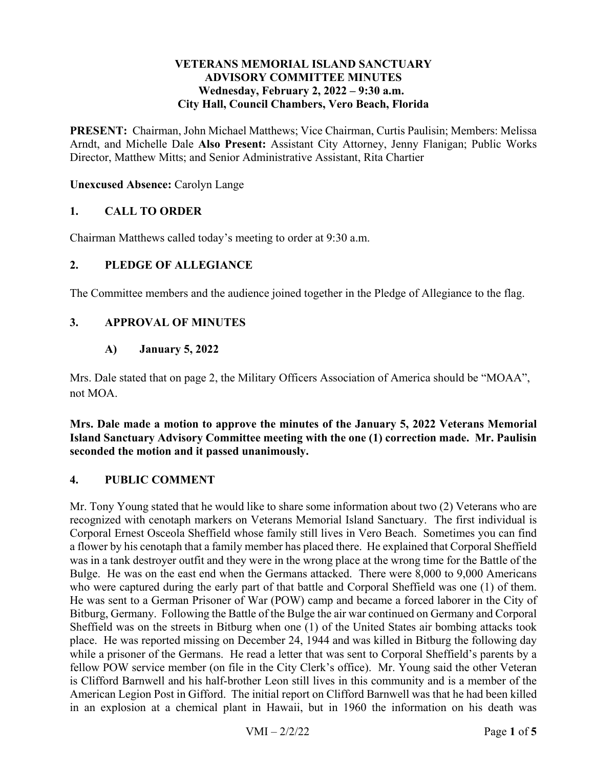### **VETERANS MEMORIAL ISLAND SANCTUARY ADVISORY COMMITTEE MINUTES**  Wednesday, February 2, 2022 – 9:30 a.m. **City Hall, Council Chambers, Vero Beach, Florida**

 **PRESENT:** Chairman, John Michael Matthews; Vice Chairman, Curtis Paulisin; Members: Melissa Arndt, and Michelle Dale **Also Present:** Assistant City Attorney, Jenny Flanigan; Public Works Director, Matthew Mitts; and Senior Administrative Assistant, Rita Chartier

**Unexcused Absence:** Carolyn Lange

### **1. CALL TO ORDER**

Chairman Matthews called today's meeting to order at 9:30 a.m.

### **2. PLEDGE OF ALLEGIANCE**

The Committee members and the audience joined together in the Pledge of Allegiance to the flag.

### **3. APPROVAL OF MINUTES**

#### **A) January 5, 2022**

Mrs. Dale stated that on page 2, the Military Officers Association of America should be "MOAA", not MOA.

 **Island Sanctuary Advisory Committee meeting with the one (1) correction made. Mr. Paulisin Mrs. Dale made a motion to approve the minutes of the January 5, 2022 Veterans Memorial seconded the motion and it passed unanimously.** 

#### **4. PUBLIC COMMENT**

 a flower by his cenotaph that a family member has placed there. He explained that Corporal Sheffield was in a tank destroyer outfit and they were in the wrong place at the wrong time for the Battle of the Bulge. He was on the east end when the Germans attacked. There were 8,000 to 9,000 Americans Bitburg, Germany. Following the Battle of the Bulge the air war continued on Germany and Corporal place. He was reported missing on December 24, 1944 and was killed in Bitburg the following day is Clifford Barnwell and his half-brother Leon still lives in this community and is a member of the Mr. Tony Young stated that he would like to share some information about two (2) Veterans who are recognized with cenotaph markers on Veterans Memorial Island Sanctuary. The first individual is Corporal Ernest Osceola Sheffield whose family still lives in Vero Beach. Sometimes you can find who were captured during the early part of that battle and Corporal Sheffield was one (1) of them. He was sent to a German Prisoner of War (POW) camp and became a forced laborer in the City of Sheffield was on the streets in Bitburg when one (1) of the United States air bombing attacks took while a prisoner of the Germans. He read a letter that was sent to Corporal Sheffield's parents by a fellow POW service member (on file in the City Clerk's office). Mr. Young said the other Veteran American Legion Post in Gifford. The initial report on Clifford Barnwell was that he had been killed in an explosion at a chemical plant in Hawaii, but in 1960 the information on his death was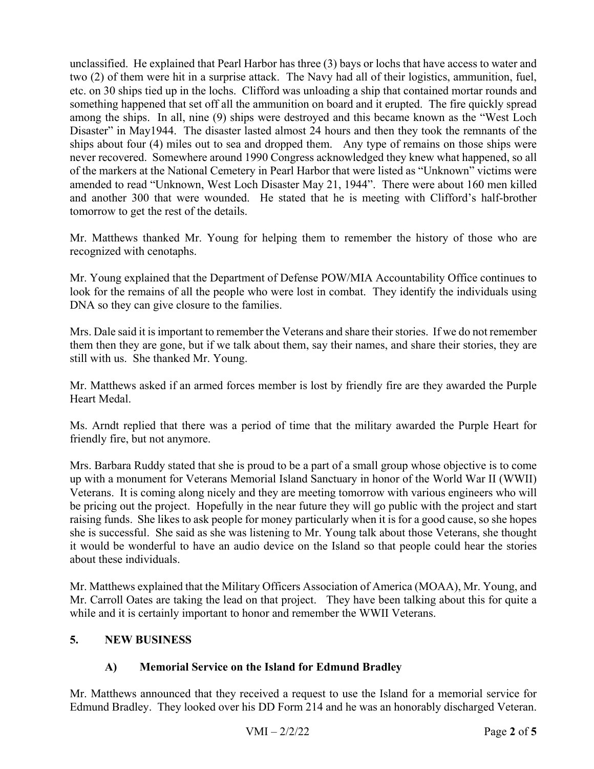unclassified. He explained that Pearl Harbor has three (3) bays or lochs that have access to water and two (2) of them were hit in a surprise attack. The Navy had all of their logistics, ammunition, fuel, etc. on 30 ships tied up in the lochs. Clifford was unloading a ship that contained mortar rounds and something happened that set off all the ammunition on board and it erupted. The fire quickly spread among the ships. In all, nine (9) ships were destroyed and this became known as the "West Loch ships about four (4) miles out to sea and dropped them. Any type of remains on those ships were and another 300 that were wounded. He stated that he is meeting with Clifford's half-brother Disaster" in May1944. The disaster lasted almost 24 hours and then they took the remnants of the never recovered. Somewhere around 1990 Congress acknowledged they knew what happened, so all of the markers at the National Cemetery in Pearl Harbor that were listed as "Unknown" victims were amended to read "Unknown, West Loch Disaster May 21, 1944". There were about 160 men killed tomorrow to get the rest of the details.

 recognized with cenotaphs. Mr. Matthews thanked Mr. Young for helping them to remember the history of those who are

 look for the remains of all the people who were lost in combat. They identify the individuals using DNA so they can give closure to the families. Mr. Young explained that the Department of Defense POW/MIA Accountability Office continues to

Mrs. Dale said it is important to remember the Veterans and share their stories. If we do not remember them then they are gone, but if we talk about them, say their names, and share their stories, they are still with us. She thanked Mr. Young.

Mr. Matthews asked if an armed forces member is lost by friendly fire are they awarded the Purple Heart Medal.

Ms. Arndt replied that there was a period of time that the military awarded the Purple Heart for friendly fire, but not anymore.

 up with a monument for Veterans Memorial Island Sanctuary in honor of the World War II (WWII) Veterans. It is coming along nicely and they are meeting tomorrow with various engineers who will be pricing out the project. Hopefully in the near future they will go public with the project and start raising funds. She likes to ask people for money particularly when it is for a good cause, so she hopes it would be wonderful to have an audio device on the Island so that people could hear the stories Mrs. Barbara Ruddy stated that she is proud to be a part of a small group whose objective is to come she is successful. She said as she was listening to Mr. Young talk about those Veterans, she thought about these individuals.

 Mr. Matthews explained that the Military Officers Association of America (MOAA), Mr. Young, and Mr. Carroll Oates are taking the lead on that project. They have been talking about this for quite a while and it is certainly important to honor and remember the WWII Veterans.

## **5. NEW BUSINESS**

## **A) Memorial Service on the Island for Edmund Bradley**

 Mr. Matthews announced that they received a request to use the Island for a memorial service for Edmund Bradley. They looked over his DD Form 214 and he was an honorably discharged Veteran.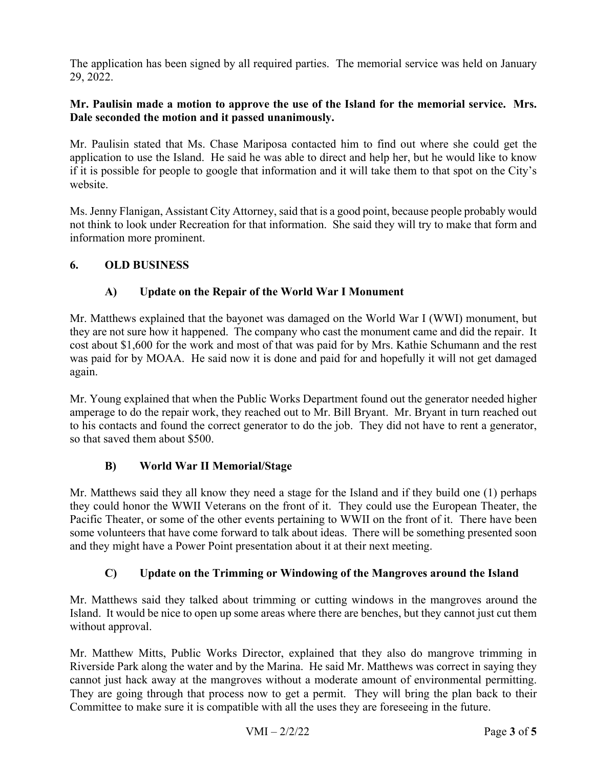The application has been signed by all required parties. The memorial service was held on January 29, 2022.

## **Mr. Paulisin made a motion to approve the use of the Island for the memorial service. Mrs. Dale seconded the motion and it passed unanimously.**

 if it is possible for people to google that information and it will take them to that spot on the City's Mr. Paulisin stated that Ms. Chase Mariposa contacted him to find out where she could get the application to use the Island. He said he was able to direct and help her, but he would like to know website.

Ms. Jenny Flanigan, Assistant City Attorney, said that is a good point, because people probably would not think to look under Recreation for that information. She said they will try to make that form and information more prominent.

# **6. OLD BUSINESS**

# **A) Update on the Repair of the World War I Monument**

 Mr. Matthews explained that the bayonet was damaged on the World War I (WWI) monument, but cost about \$1,600 for the work and most of that was paid for by Mrs. Kathie Schumann and the rest was paid for by MOAA. He said now it is done and paid for and hopefully it will not get damaged they are not sure how it happened. The company who cast the monument came and did the repair. It again.

 so that saved them about \$500. Mr. Young explained that when the Public Works Department found out the generator needed higher amperage to do the repair work, they reached out to Mr. Bill Bryant. Mr. Bryant in turn reached out to his contacts and found the correct generator to do the job. They did not have to rent a generator,

## **B) World War II Memorial/Stage**

 Mr. Matthews said they all know they need a stage for the Island and if they build one (1) perhaps they could honor the WWII Veterans on the front of it. They could use the European Theater, the Pacific Theater, or some of the other events pertaining to WWII on the front of it. There have been some volunteers that have come forward to talk about ideas. There will be something presented soon and they might have a Power Point presentation about it at their next meeting.

# **C) Update on the Trimming or Windowing of the Mangroves around the Island**

Mr. Matthews said they talked about trimming or cutting windows in the mangroves around the Island. It would be nice to open up some areas where there are benches, but they cannot just cut them without approval.

 cannot just hack away at the mangroves without a moderate amount of environmental permitting. Mr. Matthew Mitts, Public Works Director, explained that they also do mangrove trimming in Riverside Park along the water and by the Marina. He said Mr. Matthews was correct in saying they They are going through that process now to get a permit. They will bring the plan back to their Committee to make sure it is compatible with all the uses they are foreseeing in the future.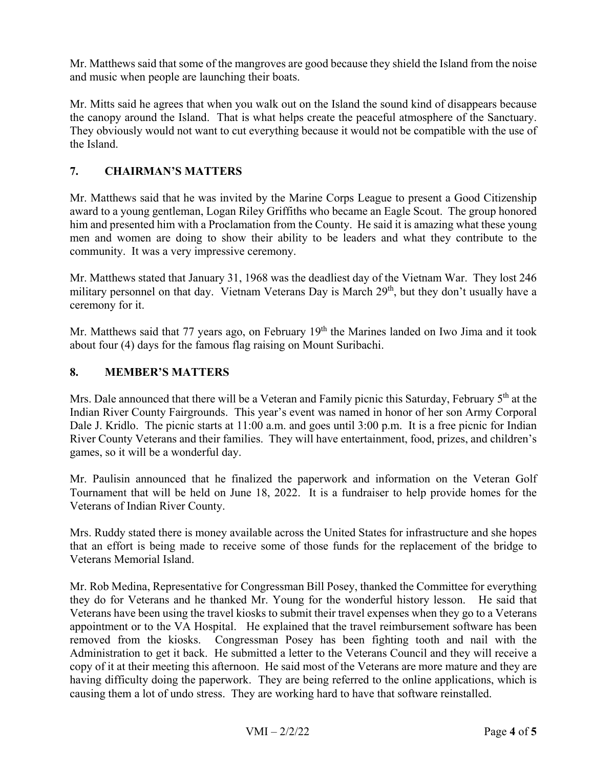Mr. Matthews said that some of the mangroves are good because they shield the Island from the noise and music when people are launching their boats.

 the canopy around the Island. That is what helps create the peaceful atmosphere of the Sanctuary. They obviously would not want to cut everything because it would not be compatible with the use of Mr. Mitts said he agrees that when you walk out on the Island the sound kind of disappears because the Island.

# **7. CHAIRMAN'S MATTERS**

 Mr. Matthews said that he was invited by the Marine Corps League to present a Good Citizenship him and presented him with a Proclamation from the County. He said it is amazing what these young men and women are doing to show their ability to be leaders and what they contribute to the community. It was a very impressive ceremony. award to a young gentleman, Logan Riley Griffiths who became an Eagle Scout. The group honored

 Mr. Matthews stated that January 31, 1968 was the deadliest day of the Vietnam War. They lost 246 military personnel on that day. Vietnam Veterans Day is March 29<sup>th</sup>, but they don't usually have a ceremony for it.

 about four (4) days for the famous flag raising on Mount Suribachi. Mr. Matthews said that 77 years ago, on February  $19<sup>th</sup>$  the Marines landed on Iwo Jima and it took

## **8. MEMBER'S MATTERS**

Mrs. Dale announced that there will be a Veteran and Family picnic this Saturday, February 5<sup>th</sup> at the Dale J. Kridlo. The picnic starts at 11:00 a.m. and goes until 3:00 p.m. It is a free picnic for Indian River County Veterans and their families. They will have entertainment, food, prizes, and children's Indian River County Fairgrounds. This year's event was named in honor of her son Army Corporal games, so it will be a wonderful day.

 Tournament that will be held on June 18, 2022. It is a fundraiser to help provide homes for the Veterans of Indian River County. Mr. Paulisin announced that he finalized the paperwork and information on the Veteran Golf

 that an effort is being made to receive some of those funds for the replacement of the bridge to Mrs. Ruddy stated there is money available across the United States for infrastructure and she hopes Veterans Memorial Island.

 copy of it at their meeting this afternoon. He said most of the Veterans are more mature and they are causing them a lot of undo stress. They are working hard to have that software reinstalled.<br>VMI – 2/2/22 Page 4 of 5 Mr. Rob Medina, Representative for Congressman Bill Posey, thanked the Committee for everything they do for Veterans and he thanked Mr. Young for the wonderful history lesson. He said that Veterans have been using the travel kiosks to submit their travel expenses when they go to a Veterans appointment or to the VA Hospital. He explained that the travel reimbursement software has been removed from the kiosks. Congressman Posey has been fighting tooth and nail with the Administration to get it back. He submitted a letter to the Veterans Council and they will receive a having difficulty doing the paperwork. They are being referred to the online applications, which is